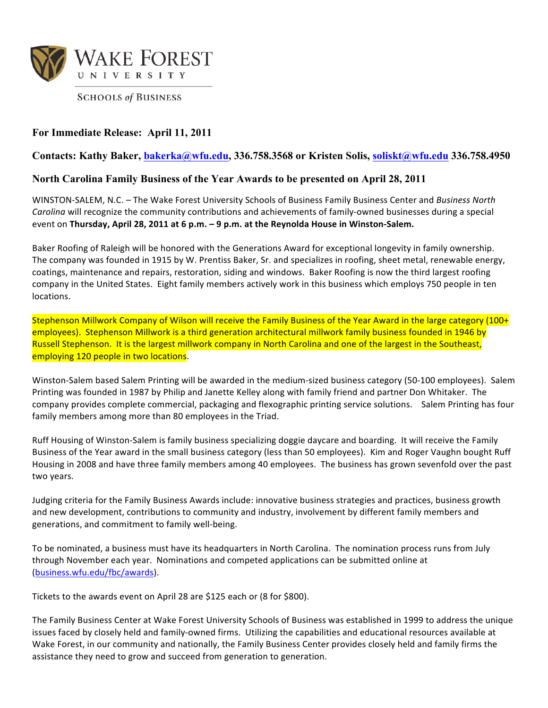

**SCHOOLS of BUSINESS** 

## **For Immediate Release: April 11, 2011**

## **Contacts: Kathy Baker, bakerka@wfu.edu, 336.758.3568 or Kristen Solis, soliskt@wfu.edu 336.758.4950**

## **North Carolina Family Business of the Year Awards to be presented on April 28, 2011**

WINSTON-SALEM, N.C. – The Wake Forest University Schools of Business Family Business Center and *Business North Carolina* will recognize the community contributions and achievements of family-owned businesses during a special event on Thursday, April 28, 2011 at 6 p.m. - 9 p.m. at the Reynolda House in Winston-Salem.

Baker Roofing of Raleigh will be honored with the Generations Award for exceptional longevity in family ownership. The company was founded in 1915 by W. Prentiss Baker, Sr. and specializes in roofing, sheet metal, renewable energy, coatings, maintenance and repairs, restoration, siding and windows. Baker Roofing is now the third largest roofing company in the United States. Eight family members actively work in this business which employs 750 people in ten locations.

Stephenson Millwork Company of Wilson will receive the Family Business of the Year Award in the large category (100+ employees). Stephenson Millwork is a third generation architectural millwork family business founded in 1946 by Russell Stephenson. It is the largest millwork company in North Carolina and one of the largest in the Southeast, employing 120 people in two locations.

Winston-Salem based Salem Printing will be awarded in the medium-sized business category (50-100 employees). Salem Printing was founded in 1987 by Philip and Janette Kelley along with family friend and partner Don Whitaker. The company provides complete commercial, packaging and flexographic printing service solutions. Salem Printing has four family members among more than 80 employees in the Triad.

Ruff Housing of Winston-Salem is family business specializing doggie daycare and boarding. It will receive the Family Business of the Year award in the small business category (less than 50 employees). Kim and Roger Vaughn bought Ruff Housing in 2008 and have three family members among 40 employees. The business has grown sevenfold over the past two years.

Judging criteria for the Family Business Awards include: innovative business strategies and practices, business growth and new development, contributions to community and industry, involvement by different family members and generations, and commitment to family well-being.

To be nominated, a business must have its headquarters in North Carolina. The nomination process runs from July through November each year. Nominations and competed applications can be submitted online at (business.wfu.edu/fbc/awards).

Tickets to the awards event on April 28 are \$125 each or (8 for \$800).

The Family Business Center at Wake Forest University Schools of Business was established in 1999 to address the unique issues faced by closely held and family-owned firms. Utilizing the capabilities and educational resources available at Wake Forest, in our community and nationally, the Family Business Center provides closely held and family firms the assistance they need to grow and succeed from generation to generation.